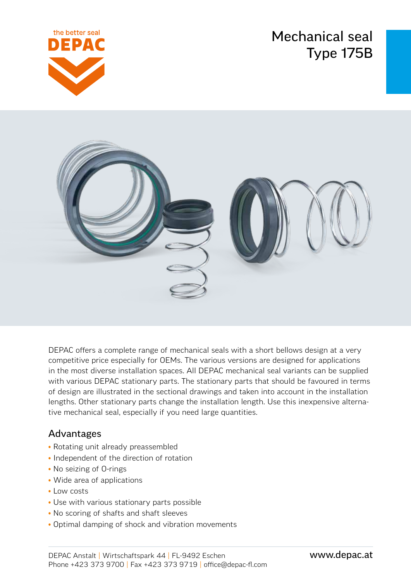Mechanical seal Type 175B





DEPAC offers a complete range of mechanical seals with a short bellows design at a very competitive price especially for OEMs. The various versions are designed for applications in the most diverse installation spaces. All DEPAC mechanical seal variants can be supplied with various DEPAC stationary parts. The stationary parts that should be favoured in terms of design are illustrated in the sectional drawings and taken into account in the installation lengths. Other stationary parts change the installation length. Use this inexpensive alternative mechanical seal, especially if you need large quantities.

## Advantages

- Rotating unit already preassembled
- Independent of the direction of rotation
- No seizing of O-rings
- Wide area of applications
- Low costs
- Use with various stationary parts possible
- No scoring of shafts and shaft sleeves
- Optimal damping of shock and vibration movements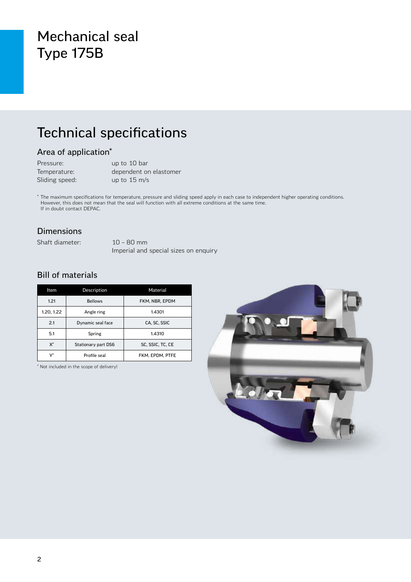# Mechanical seal Type 175B

# Technical specifications

### Area of application\*

| Pressure:      | up to 10 bar           |
|----------------|------------------------|
| Temperature:   | dependent on elastomer |
| Sliding speed: | up to $15 \text{ m/s}$ |

\* The maximum specifications for temperature, pressure and sliding speed apply in each case to independent higher operating conditions. However, this does not mean that the seal will function with all extreme conditions at the same time. If in doubt contact DEPAC.

#### Dimensions

Shaft diameter: 10 – 80 mm

Imperial and special sizes on enquiry

### Bill of materials

| Item       | Description         | Material         |  |  |
|------------|---------------------|------------------|--|--|
| 1.21       | <b>Bellows</b>      | FKM, NBR, EPDM   |  |  |
| 1.20, 1.22 | Angle ring          | 1.4301           |  |  |
| 2.1        | Dynamic seal face   | CA, SC, SSIC     |  |  |
| 5.1        | Spring              | 1.4310           |  |  |
| X*         | Stationary part DS6 | SC, SSIC, TC, CE |  |  |
| ۱ŕ         | Profile seal        | FKM. EPDM. PTFE  |  |  |

\* Not included in the scope of delivery!